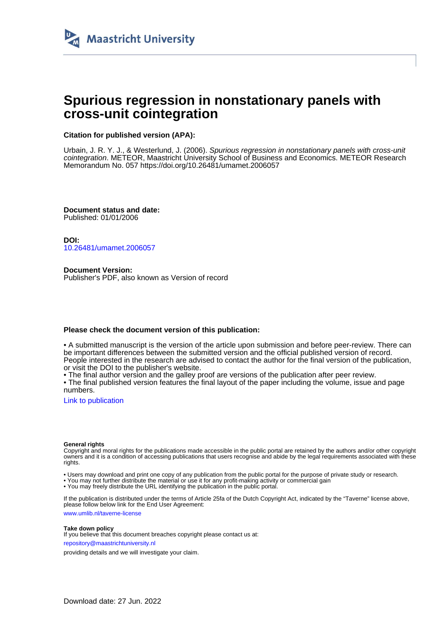

## **Spurious regression in nonstationary panels with cross-unit cointegration**

#### **Citation for published version (APA):**

Urbain, J. R. Y. J., & Westerlund, J. (2006). Spurious regression in nonstationary panels with cross-unit cointegration. METEOR, Maastricht University School of Business and Economics. METEOR Research Memorandum No. 057<https://doi.org/10.26481/umamet.2006057>

**Document status and date:** Published: 01/01/2006

**DOI:** [10.26481/umamet.2006057](https://doi.org/10.26481/umamet.2006057)

**Document Version:** Publisher's PDF, also known as Version of record

#### **Please check the document version of this publication:**

• A submitted manuscript is the version of the article upon submission and before peer-review. There can be important differences between the submitted version and the official published version of record. People interested in the research are advised to contact the author for the final version of the publication, or visit the DOI to the publisher's website.

• The final author version and the galley proof are versions of the publication after peer review.

• The final published version features the final layout of the paper including the volume, issue and page numbers.

[Link to publication](https://cris.maastrichtuniversity.nl/en/publications/0c972824-6ff8-431f-8842-333e20cae928)

#### **General rights**

Copyright and moral rights for the publications made accessible in the public portal are retained by the authors and/or other copyright owners and it is a condition of accessing publications that users recognise and abide by the legal requirements associated with these rights.

• Users may download and print one copy of any publication from the public portal for the purpose of private study or research.

• You may not further distribute the material or use it for any profit-making activity or commercial gain

• You may freely distribute the URL identifying the publication in the public portal.

If the publication is distributed under the terms of Article 25fa of the Dutch Copyright Act, indicated by the "Taverne" license above, please follow below link for the End User Agreement:

www.umlib.nl/taverne-license

#### **Take down policy**

If you believe that this document breaches copyright please contact us at: repository@maastrichtuniversity.nl

providing details and we will investigate your claim.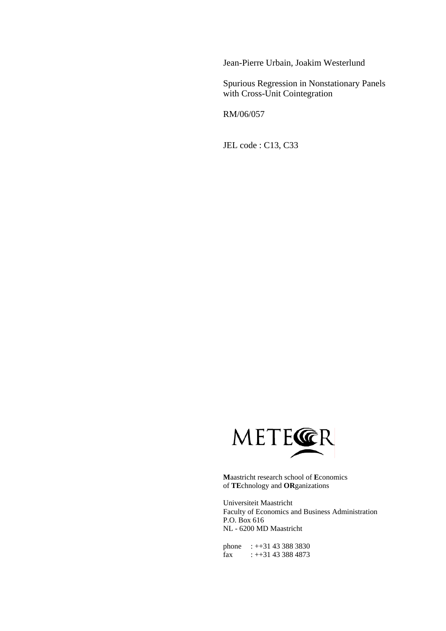Jean-Pierre Urbain, Joakim Westerlund

Spurious Regression in Nonstationary Panels with Cross-Unit Cointegration

RM/06/057

JEL code : C13, C33



**M**aastricht research school of **E**conomics of **TE**chnology and **OR**ganizations

Universiteit Maastricht Faculty of Economics and Business Administration P.O. Box 616 NL - 6200 MD Maastricht

phone : ++31 43 388 3830 fax :  $+31$  43 388 4873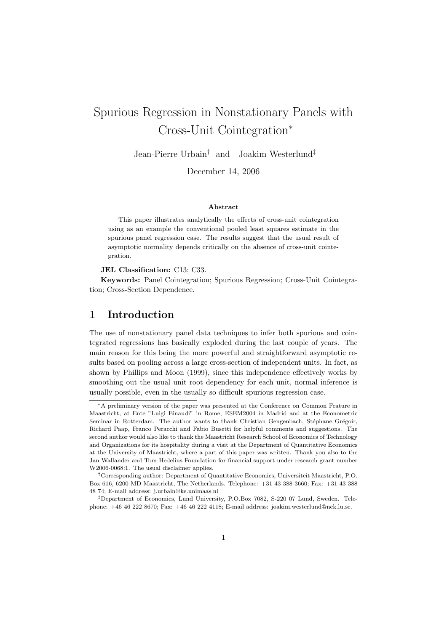# Spurious Regression in Nonstationary Panels with Cross-Unit Cointegration<sup>∗</sup>

Jean-Pierre Urbain† and Joakim Westerlund‡

December 14, 2006

#### Abstract

This paper illustrates analytically the effects of cross-unit cointegration using as an example the conventional pooled least squares estimate in the spurious panel regression case. The results suggest that the usual result of asymptotic normality depends critically on the absence of cross-unit cointegration.

JEL Classification: C13; C33.

Keywords: Panel Cointegration; Spurious Regression; Cross-Unit Cointegration; Cross-Section Dependence.

## 1 Introduction

The use of nonstationary panel data techniques to infer both spurious and cointegrated regressions has basically exploded during the last couple of years. The main reason for this being the more powerful and straightforward asymptotic results based on pooling across a large cross-section of independent units. In fact, as shown by Phillips and Moon (1999), since this independence effectively works by smoothing out the usual unit root dependency for each unit, normal inference is usually possible, even in the usually so difficult spurious regression case.

<sup>∗</sup>A preliminary version of the paper was presented at the Conference on Common Feature in Maastricht, at Ente "Luigi Einaudi" in Rome, ESEM2004 in Madrid and at the Econometric Seminar in Rotterdam. The author wants to thank Christian Gengenbach, Stéphane Grégoir, Richard Paap, Franco Peracchi and Fabio Busetti for helpful comments and suggestions. The second author would also like to thank the Maastricht Research School of Economics of Technology and Organizations for its hospitality during a visit at the Department of Quantitative Economics at the University of Maastricht, where a part of this paper was written. Thank you also to the Jan Wallander and Tom Hedelius Foundation for financial support under research grant number W2006-0068:1. The usual disclaimer applies.

<sup>†</sup>Corresponding author: Department of Quantitative Economics, Universiteit Maastricht, P.O. Box 616, 6200 MD Maastricht, The Netherlands. Telephone: +31 43 388 3660; Fax: +31 43 388 48 74; E-mail address: j.urbain@ke.unimaas.nl

<sup>‡</sup>Department of Economics, Lund University, P.O.Box 7082, S-220 07 Lund, Sweden. Telephone: +46 46 222 8670; Fax: +46 46 222 4118; E-mail address: joakim.westerlund@nek.lu.se.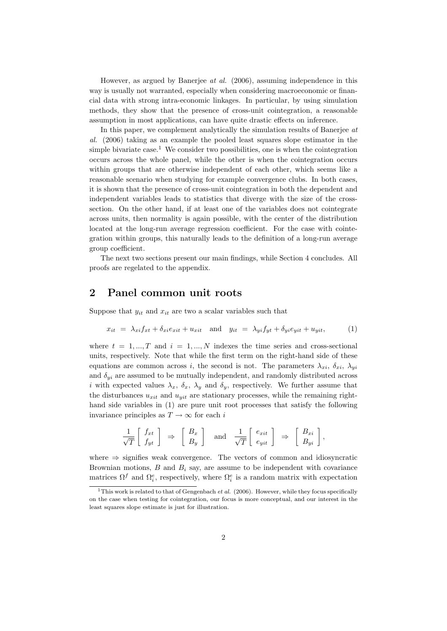However, as argued by Banerjee at al. (2006), assuming independence in this way is usually not warranted, especially when considering macroeconomic or financial data with strong intra-economic linkages. In particular, by using simulation methods, they show that the presence of cross-unit cointegration, a reasonable assumption in most applications, can have quite drastic effects on inference.

In this paper, we complement analytically the simulation results of Banerjee at al. (2006) taking as an example the pooled least squares slope estimator in the simple bivariate case.<sup>1</sup> We consider two possibilities, one is when the cointegration occurs across the whole panel, while the other is when the cointegration occurs within groups that are otherwise independent of each other, which seems like a reasonable scenario when studying for example convergence clubs. In both cases, it is shown that the presence of cross-unit cointegration in both the dependent and independent variables leads to statistics that diverge with the size of the crosssection. On the other hand, if at least one of the variables does not cointegrate across units, then normality is again possible, with the center of the distribution located at the long-run average regression coefficient. For the case with cointegration within groups, this naturally leads to the definition of a long-run average group coefficient.

The next two sections present our main findings, while Section 4 concludes. All proofs are regelated to the appendix.

### 2 Panel common unit roots

Suppose that  $y_{it}$  and  $x_{it}$  are two a scalar variables such that

$$
x_{it} = \lambda_{xi} f_{xt} + \delta_{xi} e_{xit} + u_{xit} \quad \text{and} \quad y_{it} = \lambda_{yi} f_{yt} + \delta_{yi} e_{yit} + u_{yit}, \tag{1}
$$

where  $t = 1, ..., T$  and  $i = 1, ..., N$  indexes the time series and cross-sectional units, respectively. Note that while the first term on the right-hand side of these equations are common across i, the second is not. The parameters  $\lambda_{xi}$ ,  $\delta_{xi}$ ,  $\lambda_{yi}$ and  $\delta_{yi}$  are assumed to be mutually independent, and randomly distributed across i with expected values  $\lambda_x$ ,  $\delta_x$ ,  $\lambda_y$  and  $\delta_y$ , respectively. We further assume that the disturbances  $u_{xit}$  and  $u_{yit}$  are stationary processes, while the remaining righthand side variables in (1) are pure unit root processes that satisfy the following invariance principles as  $T \to \infty$  for each i

$$
\frac{1}{\sqrt{T}}\left[\begin{array}{c} f_{xt} \\ f_{yt} \end{array}\right] \Rightarrow \left[\begin{array}{c} B_x \\ B_y \end{array}\right] \text{ and } \frac{1}{\sqrt{T}}\left[\begin{array}{c} e_{xit} \\ e_{yit} \end{array}\right] \Rightarrow \left[\begin{array}{c} B_{xi} \\ B_{yi} \end{array}\right],
$$

where  $\Rightarrow$  signifies weak convergence. The vectors of common and idiosyncratic Brownian motions,  $B$  and  $B_i$  say, are assume to be independent with covariance matrices  $\Omega^f$  and  $\Omega_i^e$ , respectively, where  $\Omega_i^e$  is a random matrix with expectation

<sup>&</sup>lt;sup>1</sup>This work is related to that of Gengenbach *et al.* (2006). However, while they focus specifically on the case when testing for cointegration, our focus is more conceptual, and our interest in the least squares slope estimate is just for illustration.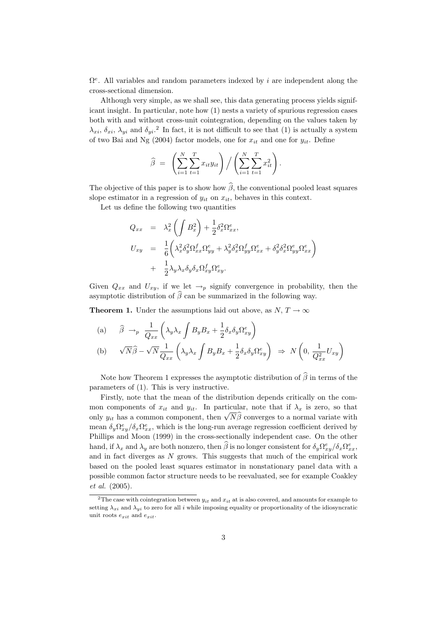$\Omega^e$ . All variables and random parameters indexed by *i* are independent along the cross-sectional dimension.

Although very simple, as we shall see, this data generating process yields significant insight. In particular, note how (1) nests a variety of spurious regression cases both with and without cross-unit cointegration, depending on the values taken by  $\lambda_{xi}$ ,  $\delta_{xi}$ ,  $\lambda_{yi}$  and  $\delta_{yi}$ .<sup>2</sup> In fact, it is not difficult to see that (1) is actually a system of two Bai and Ng (2004) factor models, one for  $x_{it}$  and one for  $y_{it}$ . Define

$$
\widehat{\beta} = \left( \sum_{i=1}^{N} \sum_{t=1}^{T} x_{it} y_{it} \right) / \left( \sum_{i=1}^{N} \sum_{t=1}^{T} x_{it}^{2} \right).
$$

The objective of this paper is to show how  $\widehat{\beta}$ , the conventional pooled least squares slope estimator in a regression of  $y_{it}$  on  $x_{it}$ , behaves in this context.

Let us define the following two quantities

$$
Q_{xx} = \lambda_x^2 \left( \int B_x^2 \right) + \frac{1}{2} \delta_x^2 \Omega_{xx}^e,
$$
  
\n
$$
U_{xy} = \frac{1}{6} \left( \lambda_x^2 \delta_y^2 \Omega_{xx}^f \Omega_{yy}^e + \lambda_y^2 \delta_x^2 \Omega_{yy}^f \Omega_{xx}^e + \delta_y^2 \delta_x^2 \Omega_{yy}^e \Omega_{xx}^e \right)
$$
  
\n
$$
+ \frac{1}{2} \lambda_y \lambda_x \delta_y \delta_x \Omega_{xy}^f \Omega_{xy}^e.
$$

Given  $Q_{xx}$  and  $U_{xy}$ , if we let  $\rightarrow_p$  signify convergence in probability, then the asymptotic distribution of  $\widehat{\beta}$  can be summarized in the following way.

**Theorem 1.** Under the assumptions laid out above, as  $N, T \rightarrow \infty$ 

(a) 
$$
\hat{\beta} \rightarrow_p \frac{1}{Q_{xx}} \left( \lambda_y \lambda_x \int B_y B_x + \frac{1}{2} \delta_x \delta_y \Omega_{xy}^e \right)
$$
  
\n(b)  $\sqrt{N} \hat{\beta} - \sqrt{N} \frac{1}{Q_{xx}} \left( \lambda_y \lambda_x \int B_y B_x + \frac{1}{2} \delta_x \delta_y \Omega_{xy}^e \right) \Rightarrow N \left( 0, \frac{1}{Q_{xx}^2} U_{xy} \right)$ 

Note how Theorem 1 expresses the asymptotic distribution of  $\widehat{\beta}$  in terms of the parameters of (1). This is very instructive.

Firstly, note that the mean of the distribution depends critically on the common components of  $x_{it}$  and  $y_{it}$ . In particular, note that if  $\lambda_x$  is zero, so that mon components of  $x_{it}$  and  $y_{it}$ . In particular, note that if  $\lambda_x$  is zero, so that only  $y_{it}$  has a common component, then  $\sqrt{N}\hat{\beta}$  converges to a normal variate with mean  $\delta_y \Omega_{xy}^e / \delta_x \Omega_{xx}^e$ , which is the long-run average regression coefficient derived by Phillips and Moon (1999) in the cross-sectionally independent case. On the other hand, if  $\lambda_x$  and  $\lambda_y$  are both nonzero, then  $\hat{\beta}$  is no longer consistent for  $\delta_y \Omega_{xy}^e / \delta_x \Omega_{xx}^e$ , and in fact diverges as  $N$  grows. This suggests that much of the empirical work based on the pooled least squares estimator in nonstationary panel data with a possible common factor structure needs to be reevaluated, see for example Coakley et al. (2005).

<sup>&</sup>lt;sup>2</sup>The case with cointegration between  $y_{it}$  and  $x_{it}$  at is also covered, and amounts for example to setting  $\lambda_{xi}$  and  $\lambda_{yi}$  to zero for all i while imposing equality or proportionality of the idiosyncratic unit roots  $e_{xit}$  and  $e_{xit}$ .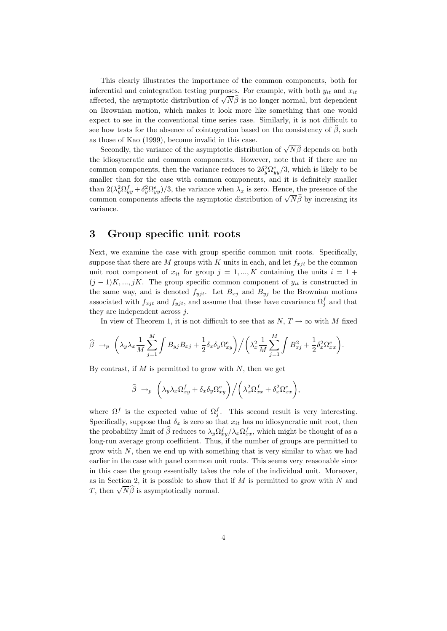This clearly illustrates the importance of the common components, both for inferential and cointegration testing purposes. For example, with both  $y_{it}$  and  $x_{it}$ affected, the asymptotic distribution of  $\sqrt{N}\hat{\beta}$  is no longer normal, but dependent on Brownian motion, which makes it look more like something that one would expect to see in the conventional time series case. Similarly, it is not difficult to see how tests for the absence of cointegration based on the consistency of  $\hat{\beta}$ , such as those of Kao (1999), become invalid in this case.

Secondly, the variance of the asymptotic distribution of  $\sqrt{N}\hat{\beta}$  depends on both Secondly, the variance of the asymptotic distribution of  $\sqrt{N}\hat{\beta}$  depends on both the idiosyncratic and common components. However, note that if there are no common components, then the variance reduces to  $2\delta_y^2 \Omega_{yy}^e/3$ , which is likely to be smaller than for the case with common components, and it is definitely smaller than  $2(\lambda_y^2 \Omega_{yy}^f + \delta_y^2 \Omega_{yy}^e)/3$ , the variance when  $\lambda_x$  is zero. Hence, the presence of the chan  $2(\lambda_y \Omega_{yy} + \theta_y \Omega_{yy})/3$ , the variance when  $\lambda_x$  is zero. Trence, the presence of the common components affects the asymptotic distribution of  $\sqrt{N}\hat{\beta}$  by increasing its variance.

## 3 Group specific unit roots

Next, we examine the case with group specific common unit roots. Specifically, suppose that there are M groups with K units in each, and let  $f_{xit}$  be the common unit root component of  $x_{it}$  for group  $j = 1, ..., K$  containing the units  $i = 1 +$  $(j-1)K, ..., jK$ . The group specific common component of  $y_{it}$  is constructed in the same way, and is denoted  $f_{yjt}$ . Let  $B_{xj}$  and  $B_{yj}$  be the Brownian motions associated with  $f_{xjt}$  and  $f_{yjt}$ , and assume that these have covariance  $\Omega_j^f$  and that they are independent across  $j$ .

In view of Theorem 1, it is not difficult to see that as  $N, T \to \infty$  with M fixed

$$
\widehat{\beta} \rightarrow_p \left(\lambda_y \lambda_x \frac{1}{M} \sum_{j=1}^M \int B_{yj} B_{xj} + \frac{1}{2} \delta_x \delta_y \Omega_{xy}^e \right) / \left(\lambda_x^2 \frac{1}{M} \sum_{j=1}^M \int B_{xj}^2 + \frac{1}{2} \delta_x^2 \Omega_{xx}^e \right).
$$

By contrast, if  $M$  is permitted to grow with  $N$ , then we get

$$
\widehat{\beta} \rightarrow_p \left( \lambda_y \lambda_x \Omega_{xy}^f + \delta_x \delta_y \Omega_{xy}^e \right) / \left( \lambda_x^2 \Omega_{xx}^f + \delta_x^2 \Omega_{xx}^e \right),
$$

where  $\Omega^f$  is the expected value of  $\Omega^f_j$ . This second result is very interesting. Specifically, suppose that  $\delta_x$  is zero so that  $x_{it}$  has no idiosyncratic unit root, then the probability limit of  $\hat{\beta}$  reduces to  $\lambda_y \Omega_{xy}^f / \lambda_x \Omega_{xx}^f$ , which might be thought of as a long-run average group coefficient. Thus, if the number of groups are permitted to grow with  $N$ , then we end up with something that is very similar to what we had earlier in the case with panel common unit roots. This seems very reasonable since in this case the group essentially takes the role of the individual unit. Moreover, as in Section 2, it is possible to show that if  $M$  is permitted to grow with  $N$  and as in section 2, it is possible to show if  $T$ , then  $\sqrt{N}\hat{\beta}$  is asymptotically normal.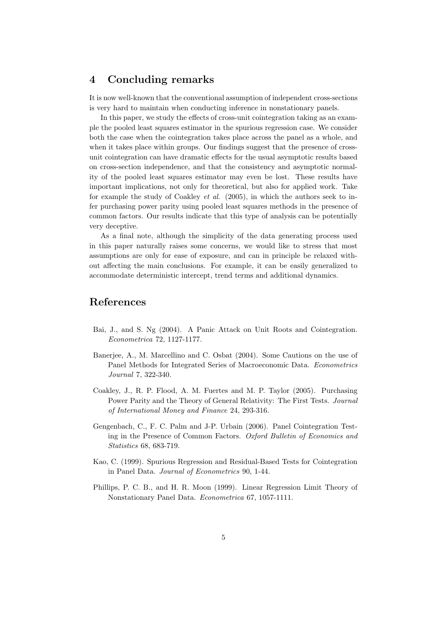## 4 Concluding remarks

It is now well-known that the conventional assumption of independent cross-sections is very hard to maintain when conducting inference in nonstationary panels.

In this paper, we study the effects of cross-unit cointegration taking as an example the pooled least squares estimator in the spurious regression case. We consider both the case when the cointegration takes place across the panel as a whole, and when it takes place within groups. Our findings suggest that the presence of crossunit cointegration can have dramatic effects for the usual asymptotic results based on cross-section independence, and that the consistency and asymptotic normality of the pooled least squares estimator may even be lost. These results have important implications, not only for theoretical, but also for applied work. Take for example the study of Coakley *et al.* (2005), in which the authors seek to infer purchasing power parity using pooled least squares methods in the presence of common factors. Our results indicate that this type of analysis can be potentially very deceptive.

As a final note, although the simplicity of the data generating process used in this paper naturally raises some concerns, we would like to stress that most assumptions are only for ease of exposure, and can in principle be relaxed without affecting the main conclusions. For example, it can be easily generalized to accommodate deterministic intercept, trend terms and additional dynamics.

### References

- Bai, J., and S. Ng (2004). A Panic Attack on Unit Roots and Cointegration. Econometrica 72, 1127-1177.
- Banerjee, A., M. Marcellino and C. Osbat (2004). Some Cautions on the use of Panel Methods for Integrated Series of Macroeconomic Data. Econometrics Journal 7, 322-340.
- Coakley, J., R. P. Flood, A. M. Fuertes and M. P. Taylor (2005). Purchasing Power Parity and the Theory of General Relativity: The First Tests. Journal of International Money and Finance 24, 293-316.
- Gengenbach, C., F. C. Palm and J-P. Urbain (2006). Panel Cointegration Testing in the Presence of Common Factors. Oxford Bulletin of Economics and Statistics 68, 683-719.
- Kao, C. (1999). Spurious Regression and Residual-Based Tests for Cointegration in Panel Data. Journal of Econometrics 90, 1-44.
- Phillips, P. C. B., and H. R. Moon (1999). Linear Regression Limit Theory of Nonstationary Panel Data. Econometrica 67, 1057-1111.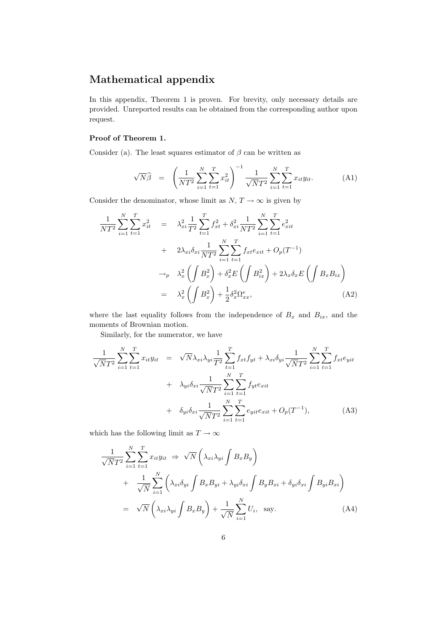## Mathematical appendix

In this appendix, Theorem 1 is proven. For brevity, only necessary details are provided. Unreported results can be obtained from the corresponding author upon request.

#### Proof of Theorem 1.

Consider (a). The least squares estimator of  $\beta$  can be written as

$$
\sqrt{N}\widehat{\beta} = \left(\frac{1}{NT^2} \sum_{i=1}^{N} \sum_{t=1}^{T} x_{it}^2\right)^{-1} \frac{1}{\sqrt{NT^2}} \sum_{i=1}^{N} \sum_{t=1}^{T} x_{it} y_{it}.
$$
 (A1)

Consider the denominator, whose limit as  $N, T \rightarrow \infty$  is given by

$$
\frac{1}{NT^2} \sum_{i=1}^{N} \sum_{t=1}^{T} x_{it}^2 = \lambda_{xi}^2 \frac{1}{T^2} \sum_{t=1}^{T} f_{xt}^2 + \delta_{xi}^2 \frac{1}{NT^2} \sum_{i=1}^{N} \sum_{t=1}^{T} e_{xit}^2
$$
  
+  $2\lambda_{xi} \delta_{xi} \frac{1}{NT^2} \sum_{i=1}^{N} \sum_{t=1}^{T} f_{xt} e_{xit} + O_p(T^{-1})$   
 $\rightarrow_p \lambda_x^2 \left( \int B_x^2 \right) + \delta_x^2 E \left( \int B_{ix}^2 \right) + 2\lambda_x \delta_x E \left( \int B_x B_{ix} \right)$   
=  $\lambda_x^2 \left( \int B_x^2 \right) + \frac{1}{2} \delta_x^2 \Omega_{xx}^e,$  (A2)

where the last equality follows from the independence of  $B_x$  and  $B_{ix}$ , and the moments of Brownian motion.

Similarly, for the numerator, we have

$$
\frac{1}{\sqrt{N}T^2} \sum_{i=1}^{N} \sum_{t=1}^{T} x_{it} y_{it} = \sqrt{N} \lambda_{xi} \lambda_{yi} \frac{1}{T^2} \sum_{t=1}^{T} f_{xt} f_{yt} + \lambda_{xi} \delta_{yi} \frac{1}{\sqrt{N}T^2} \sum_{i=1}^{N} \sum_{t=1}^{T} f_{xt} e_{yit}
$$

$$
+ \lambda_{yi} \delta_{xi} \frac{1}{\sqrt{N}T^2} \sum_{i=1}^{N} \sum_{t=1}^{T} f_{yt} e_{xit}
$$

$$
+ \delta_{yi} \delta_{xi} \frac{1}{\sqrt{N}T^2} \sum_{i=1}^{N} \sum_{t=1}^{T} e_{yit} e_{xit} + O_p(T^{-1}), \qquad (A3)
$$

which has the following limit as  $T\rightarrow\infty$ 

$$
\frac{1}{\sqrt{N}T^2} \sum_{i=1}^{N} \sum_{t=1}^{T} x_{it} y_{it} \Rightarrow \sqrt{N} \left( \lambda_{xi} \lambda_{yi} \int B_x B_y \right) \n+ \frac{1}{\sqrt{N}} \sum_{i=1}^{N} \left( \lambda_{xi} \delta_{yi} \int B_x B_{yi} + \lambda_{yi} \delta_{xi} \int B_y B_{xi} + \delta_{yi} \delta_{xi} \int B_{yi} B_{xi} \right) \n= \sqrt{N} \left( \lambda_{xi} \lambda_{yi} \int B_x B_y \right) + \frac{1}{\sqrt{N}} \sum_{i=1}^{N} U_i, \text{ say.}
$$
\n(A4)